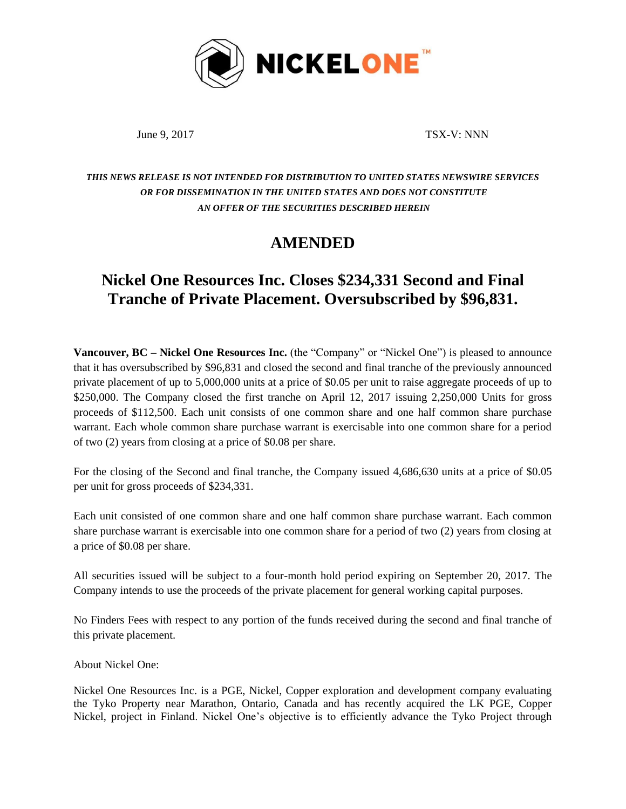

June 9, 2017 TSX-V: NNN

## *THIS NEWS RELEASE IS NOT INTENDED FOR DISTRIBUTION TO UNITED STATES NEWSWIRE SERVICES OR FOR DISSEMINATION IN THE UNITED STATES AND DOES NOT CONSTITUTE AN OFFER OF THE SECURITIES DESCRIBED HEREIN*

## **AMENDED**

## **Nickel One Resources Inc. Closes \$234,331 Second and Final Tranche of Private Placement. Oversubscribed by \$96,831.**

**Vancouver, BC – Nickel One Resources Inc.** (the "Company" or "Nickel One") is pleased to announce that it has oversubscribed by \$96,831 and closed the second and final tranche of the previously announced private placement of up to 5,000,000 units at a price of \$0.05 per unit to raise aggregate proceeds of up to \$250,000. The Company closed the first tranche on April 12, 2017 issuing 2,250,000 Units for gross proceeds of \$112,500. Each unit consists of one common share and one half common share purchase warrant. Each whole common share purchase warrant is exercisable into one common share for a period of two (2) years from closing at a price of \$0.08 per share.

For the closing of the Second and final tranche, the Company issued 4,686,630 units at a price of \$0.05 per unit for gross proceeds of \$234,331.

Each unit consisted of one common share and one half common share purchase warrant. Each common share purchase warrant is exercisable into one common share for a period of two (2) years from closing at a price of \$0.08 per share.

All securities issued will be subject to a four-month hold period expiring on September 20, 2017. The Company intends to use the proceeds of the private placement for general working capital purposes.

No Finders Fees with respect to any portion of the funds received during the second and final tranche of this private placement.

About Nickel One:

Nickel One Resources Inc. is a PGE, Nickel, Copper exploration and development company evaluating the Tyko Property near Marathon, Ontario, Canada and has recently acquired the LK PGE, Copper Nickel, project in Finland. Nickel One's objective is to efficiently advance the Tyko Project through